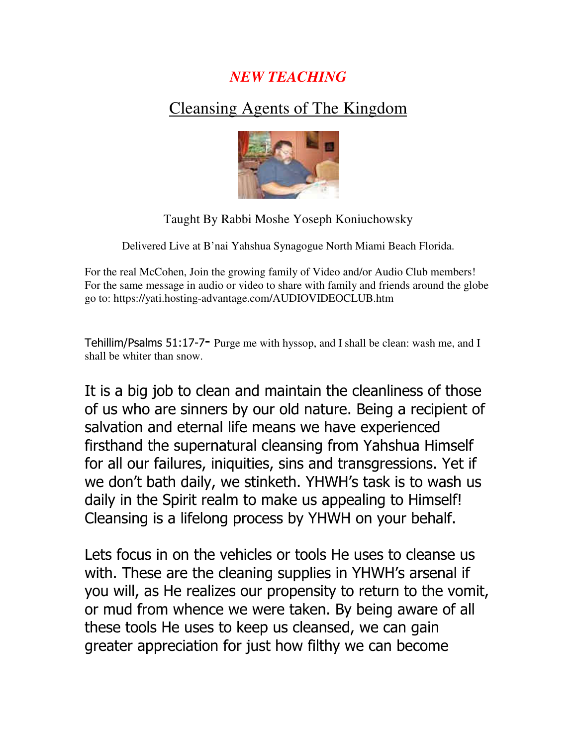## *NEW TEACHING*

## Cleansing Agents of The Kingdom



Taught By Rabbi Moshe Yoseph Koniuchowsky

Delivered Live at B'nai Yahshua Synagogue North Miami Beach Florida.

For the real McCohen, Join the growing family of Video and/or Audio Club members! For the same message in audio or video to share with family and friends around the globe go to: https://yati.hosting-advantage.com/AUDIOVIDEOCLUB.htm

Tehillim/Psalms 51:17-7- Purge me with hyssop, and I shall be clean: wash me, and I shall be whiter than snow.

It is a big job to clean and maintain the cleanliness of those of us who are sinners by our old nature. Being a recipient of salvation and eternal life means we have experienced firsthand the supernatural cleansing from Yahshua Himself for all our failures, iniquities, sins and transgressions. Yet if we don't bath daily, we stinketh. YHWH's task is to wash us daily in the Spirit realm to make us appealing to Himself! Cleansing is a lifelong process by YHWH on your behalf.

Lets focus in on the vehicles or tools He uses to cleanse us with. These are the cleaning supplies in YHWH's arsenal if you will, as He realizes our propensity to return to the vomit, or mud from whence we were taken. By being aware of all these tools He uses to keep us cleansed, we can gain greater appreciation for just how filthy we can become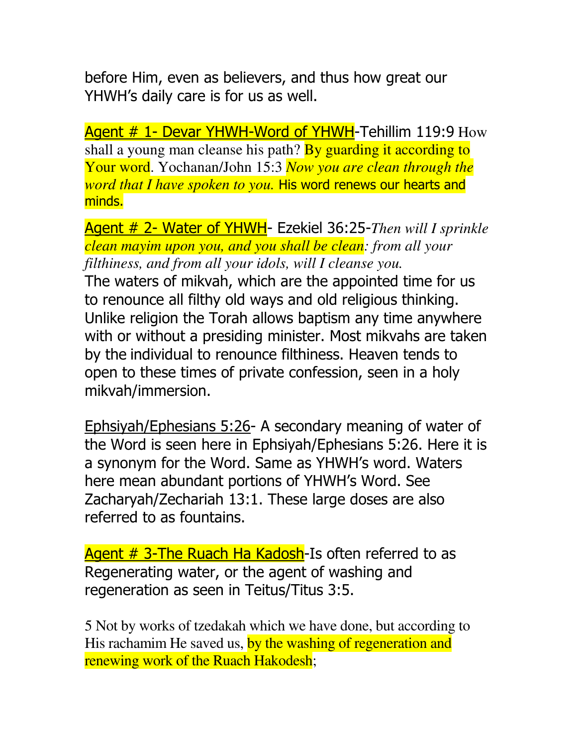before Him, even as believers, and thus how great our YHWH's daily care is for us as well.

Agent # 1- Devar YHWH-Word of YHWH-Tehillim 119:9 How shall a young man cleanse his path? By guarding it according to Your word. Yochanan/John 15:3 *Now you are clean through the word that I have spoken to you.* His word renews our hearts and minds.

Agent # 2- Water of YHWH- Ezekiel 36:25-*Then will I sprinkle clean mayim upon you, and you shall be clean: from all your filthiness, and from all your idols, will I cleanse you.* 

The waters of mikvah, which are the appointed time for us to renounce all filthy old ways and old religious thinking. Unlike religion the Torah allows baptism any time anywhere with or without a presiding minister. Most mikvahs are taken by the individual to renounce filthiness. Heaven tends to open to these times of private confession, seen in a holy mikvah/immersion.

Ephsiyah/Ephesians 5:26- A secondary meaning of water of the Word is seen here in Ephsiyah/Ephesians 5:26. Here it is a synonym for the Word. Same as YHWH's word. Waters here mean abundant portions of YHWH's Word. See Zacharyah/Zechariah 13:1. These large doses are also referred to as fountains.

Agent  $#$  3-The Ruach Ha Kadosh-Is often referred to as Regenerating water, or the agent of washing and regeneration as seen in Teitus/Titus 3:5.

5 Not by works of tzedakah which we have done, but according to His rachamim He saved us, by the washing of regeneration and renewing work of the Ruach Hakodesh;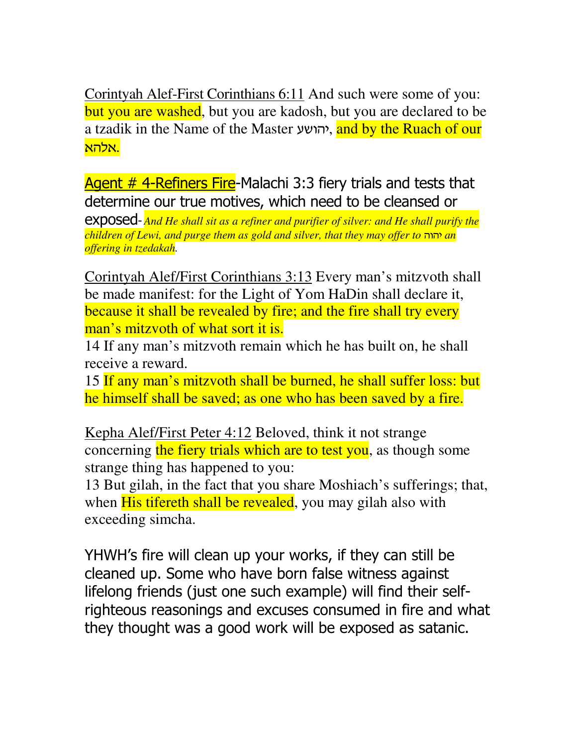Corintyah Alef-First Corinthians 6:11 And such were some of you: but you are washed, but you are kadosh, but you are declared to be a tzadik in the Name of the Master יהושע, and by the Ruach of our אלהא.

Agent # 4-Refiners Fire-Malachi 3:3 fiery trials and tests that determine our true motives, which need to be cleansed or

exposed- *And He shall sit as a refiner and purifier of silver: and He shall purify the children of Lewi, and purge them as gold and silver, that they may offer to* vuvh *an offering in tzedakah.* 

Corintyah Alef/First Corinthians 3:13 Every man's mitzvoth shall be made manifest: for the Light of Yom HaDin shall declare it, because it shall be revealed by fire; and the fire shall try every man's mitzvoth of what sort it is.

14 If any man's mitzvoth remain which he has built on, he shall receive a reward.

15 If any man's mitzvoth shall be burned, he shall suffer loss: but he himself shall be saved; as one who has been saved by a fire.

Kepha Alef/First Peter 4:12 Beloved, think it not strange concerning the fiery trials which are to test you, as though some strange thing has happened to you:

13 But gilah, in the fact that you share Moshiach's sufferings; that, when His tifereth shall be revealed, you may gilah also with exceeding simcha.

YHWH's fire will clean up your works, if they can still be cleaned up. Some who have born false witness against lifelong friends (just one such example) will find their selfrighteous reasonings and excuses consumed in fire and what they thought was a good work will be exposed as satanic.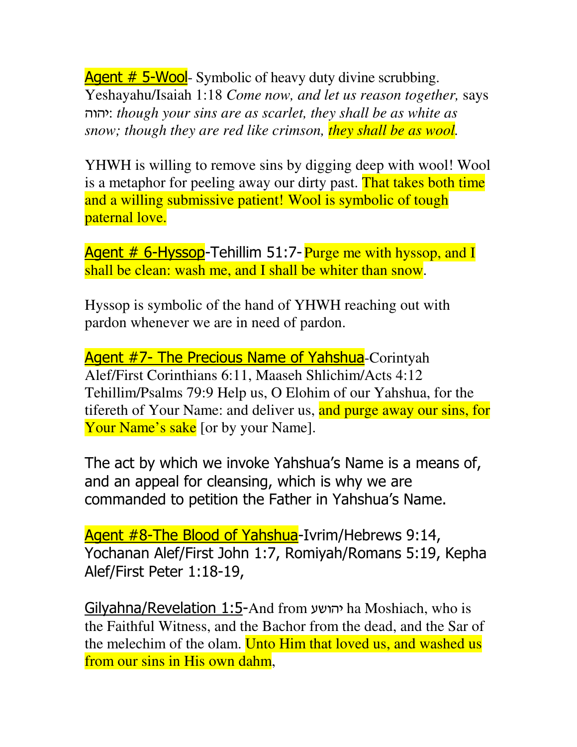**Agent # 5-Wool**- Symbolic of heavy duty divine scrubbing. Yeshayahu/Isaiah 1:18 *Come now, and let us reason together,* says vuvh: *though your sins are as scarlet, they shall be as white as snow; though they are red like crimson, they shall be as wool.* 

YHWH is willing to remove sins by digging deep with wool! Wool is a metaphor for peeling away our dirty past. That takes both time and a willing submissive patient! Wool is symbolic of tough paternal love.

Agent  $\#$  6-Hyssop-Tehillim 51:7-Purge me with hyssop, and I shall be clean: wash me, and I shall be whiter than snow.

Hyssop is symbolic of the hand of YHWH reaching out with pardon whenever we are in need of pardon.

**Agent #7- The Precious Name of Yahshua-Corintyah** Alef/First Corinthians 6:11, Maaseh Shlichim/Acts 4:12 Tehillim/Psalms 79:9 Help us, O Elohim of our Yahshua, for the tifereth of Your Name: and deliver us, and purge away our sins, for Your Name's sake [or by your Name].

The act by which we invoke Yahshua's Name is a means of, and an appeal for cleansing, which is why we are commanded to petition the Father in Yahshua's Name.

Agent #8-The Blood of Yahshua-Ivrim/Hebrews 9:14, Yochanan Alef/First John 1:7, Romiyah/Romans 5:19, Kepha Alef/First Peter 1:18-19,

Gilyahna/Revelation 1:5-And from יהושע ha Moshiach, who is the Faithful Witness, and the Bachor from the dead, and the Sar of the melechim of the olam. Unto Him that loved us, and washed us from our sins in His own dahm,